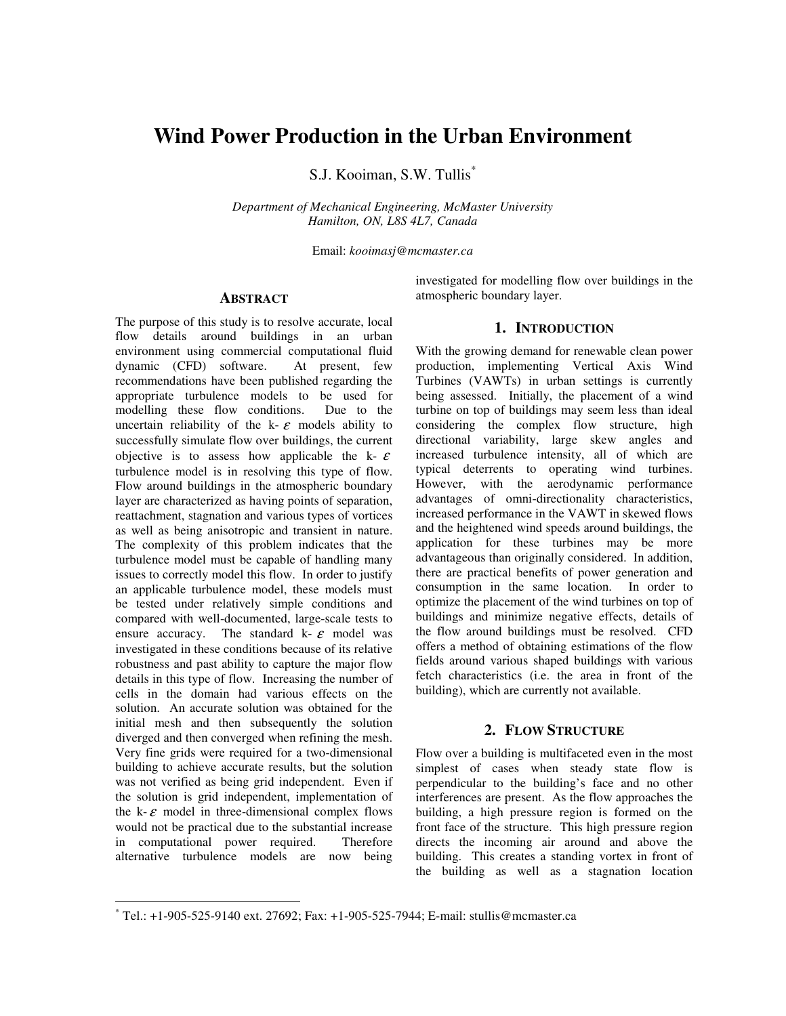# **Wind Power Production in the Urban Environment**

S.J. Kooiman, S.W. Tullis\*

*Department of Mechanical Engineering, McMaster University Hamilton, ON, L8S 4L7, Canada* 

Email: *kooimasj@mcmaster.ca* 

#### **ABSTRACT**

The purpose of this study is to resolve accurate, local flow details around buildings in an urban environment using commercial computational fluid dynamic (CFD) software. At present, few recommendations have been published regarding the appropriate turbulence models to be used for modelling these flow conditions. Due to the uncertain reliability of the k- $\varepsilon$  models ability to successfully simulate flow over buildings, the current objective is to assess how applicable the k- $\varepsilon$ turbulence model is in resolving this type of flow. Flow around buildings in the atmospheric boundary layer are characterized as having points of separation, reattachment, stagnation and various types of vortices as well as being anisotropic and transient in nature. The complexity of this problem indicates that the turbulence model must be capable of handling many issues to correctly model this flow. In order to justify an applicable turbulence model, these models must be tested under relatively simple conditions and compared with well-documented, large-scale tests to ensure accuracy. The standard  $k - \varepsilon$  model was investigated in these conditions because of its relative robustness and past ability to capture the major flow details in this type of flow. Increasing the number of cells in the domain had various effects on the solution. An accurate solution was obtained for the initial mesh and then subsequently the solution diverged and then converged when refining the mesh. Very fine grids were required for a two-dimensional building to achieve accurate results, but the solution was not verified as being grid independent. Even if the solution is grid independent, implementation of the  $k - \varepsilon$  model in three-dimensional complex flows would not be practical due to the substantial increase<br>in computational power required. Therefore in computational power required. alternative turbulence models are now being

l

investigated for modelling flow over buildings in the atmospheric boundary layer.

#### **1. INTRODUCTION**

With the growing demand for renewable clean power production, implementing Vertical Axis Wind Turbines (VAWTs) in urban settings is currently being assessed. Initially, the placement of a wind turbine on top of buildings may seem less than ideal considering the complex flow structure, high directional variability, large skew angles and increased turbulence intensity, all of which are typical deterrents to operating wind turbines. However, with the aerodynamic performance advantages of omni-directionality characteristics, increased performance in the VAWT in skewed flows and the heightened wind speeds around buildings, the application for these turbines may be more advantageous than originally considered. In addition, there are practical benefits of power generation and consumption in the same location. In order to optimize the placement of the wind turbines on top of buildings and minimize negative effects, details of the flow around buildings must be resolved. CFD offers a method of obtaining estimations of the flow fields around various shaped buildings with various fetch characteristics (i.e. the area in front of the building), which are currently not available.

### **2. FLOW STRUCTURE**

Flow over a building is multifaceted even in the most simplest of cases when steady state flow is perpendicular to the building's face and no other interferences are present. As the flow approaches the building, a high pressure region is formed on the front face of the structure. This high pressure region directs the incoming air around and above the building. This creates a standing vortex in front of the building as well as a stagnation location

<sup>\*</sup> Tel.: +1-905-525-9140 ext. 27692; Fax: +1-905-525-7944; E-mail: stullis@mcmaster.ca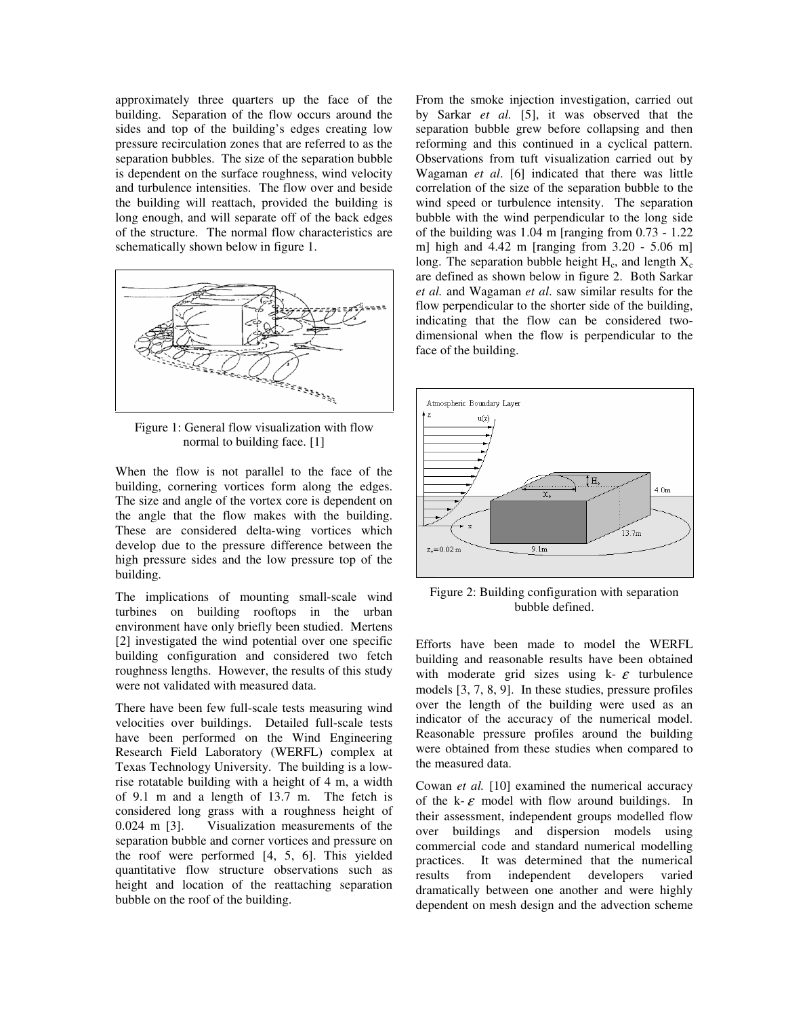approximately three quarters up the face of the building. Separation of the flow occurs around the sides and top of the building's edges creating low pressure recirculation zones that are referred to as the separation bubbles. The size of the separation bubble is dependent on the surface roughness, wind velocity and turbulence intensities. The flow over and beside the building will reattach, provided the building is long enough, and will separate off of the back edges of the structure. The normal flow characteristics are schematically shown below in figure 1.



Figure 1: General flow visualization with flow normal to building face. [1]

When the flow is not parallel to the face of the building, cornering vortices form along the edges. The size and angle of the vortex core is dependent on the angle that the flow makes with the building. These are considered delta-wing vortices which develop due to the pressure difference between the high pressure sides and the low pressure top of the building.

The implications of mounting small-scale wind turbines on building rooftops in the urban environment have only briefly been studied. Mertens [2] investigated the wind potential over one specific building configuration and considered two fetch roughness lengths. However, the results of this study were not validated with measured data.

There have been few full-scale tests measuring wind velocities over buildings. Detailed full-scale tests have been performed on the Wind Engineering Research Field Laboratory (WERFL) complex at Texas Technology University. The building is a lowrise rotatable building with a height of 4 m, a width of 9.1 m and a length of 13.7 m. The fetch is considered long grass with a roughness height of 0.024 m [3]. Visualization measurements of the separation bubble and corner vortices and pressure on the roof were performed [4, 5, 6]. This yielded quantitative flow structure observations such as height and location of the reattaching separation bubble on the roof of the building.

From the smoke injection investigation, carried out by Sarkar *et al.* [5], it was observed that the separation bubble grew before collapsing and then reforming and this continued in a cyclical pattern. Observations from tuft visualization carried out by Wagaman *et al*. [6] indicated that there was little correlation of the size of the separation bubble to the wind speed or turbulence intensity. The separation bubble with the wind perpendicular to the long side of the building was 1.04 m [ranging from 0.73 - 1.22 m] high and  $4.42$  m [ranging from  $3.20 - 5.06$  m] long. The separation bubble height  $H_c$ , and length  $X_c$ are defined as shown below in figure 2. Both Sarkar *et al.* and Wagaman *et al*. saw similar results for the flow perpendicular to the shorter side of the building, indicating that the flow can be considered twodimensional when the flow is perpendicular to the face of the building.



Figure 2: Building configuration with separation bubble defined.

Efforts have been made to model the WERFL building and reasonable results have been obtained with moderate grid sizes using  $k - \varepsilon$  turbulence models [3, 7, 8, 9]. In these studies, pressure profiles over the length of the building were used as an indicator of the accuracy of the numerical model. Reasonable pressure profiles around the building were obtained from these studies when compared to the measured data.

Cowan *et al.* [10] examined the numerical accuracy of the k- $\varepsilon$  model with flow around buildings. In their assessment, independent groups modelled flow over buildings and dispersion models using commercial code and standard numerical modelling practices. It was determined that the numerical<br>results from independent developers varied results from independent developers varied dramatically between one another and were highly dependent on mesh design and the advection scheme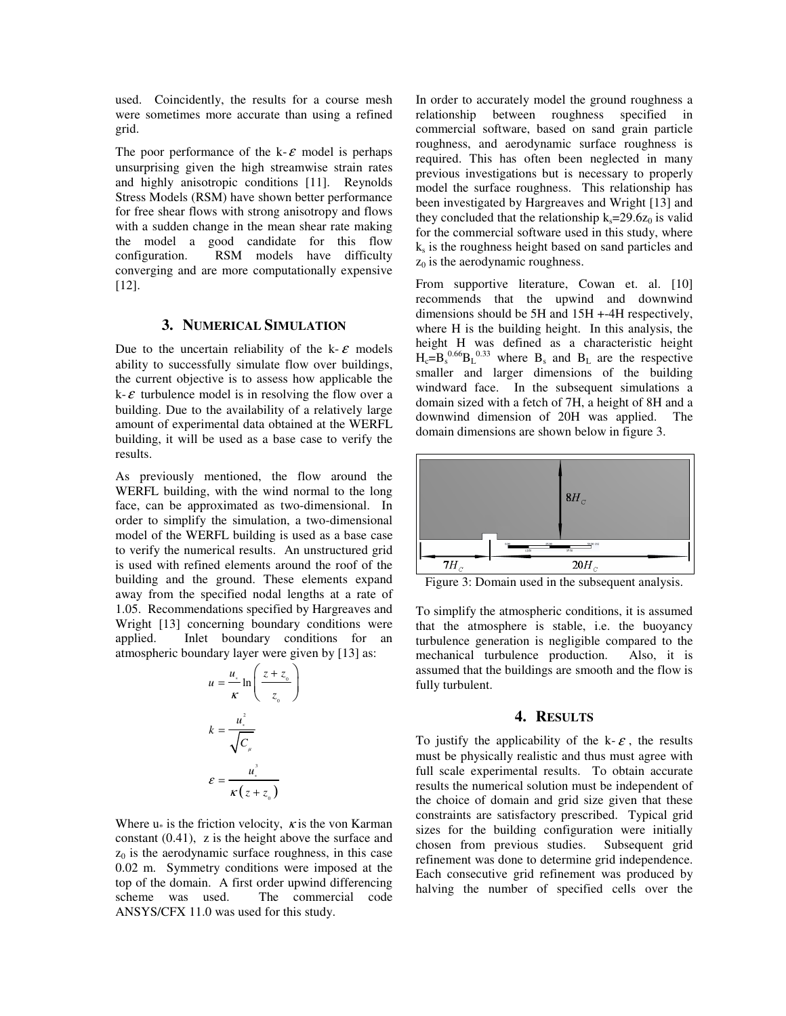used. Coincidently, the results for a course mesh were sometimes more accurate than using a refined grid.

The poor performance of the k- $\varepsilon$  model is perhaps unsurprising given the high streamwise strain rates and highly anisotropic conditions [11]. Reynolds Stress Models (RSM) have shown better performance for free shear flows with strong anisotropy and flows with a sudden change in the mean shear rate making the model a good candidate for this flow configuration. RSM models have difficulty converging and are more computationally expensive [12].

#### **3. NUMERICAL SIMULATION**

Due to the uncertain reliability of the k- $\varepsilon$  models ability to successfully simulate flow over buildings, the current objective is to assess how applicable the  $k - \varepsilon$  turbulence model is in resolving the flow over a building. Due to the availability of a relatively large amount of experimental data obtained at the WERFL building, it will be used as a base case to verify the results.

As previously mentioned, the flow around the WERFL building, with the wind normal to the long face, can be approximated as two-dimensional. In order to simplify the simulation, a two-dimensional model of the WERFL building is used as a base case to verify the numerical results. An unstructured grid is used with refined elements around the roof of the building and the ground. These elements expand away from the specified nodal lengths at a rate of 1.05. Recommendations specified by Hargreaves and Wright [13] concerning boundary conditions were applied. Inlet boundary conditions for an atmospheric boundary layer were given by [13] as:

$$
u = \frac{u_*}{\kappa} \ln \left( \frac{z + z_0}{z_0} \right)
$$

$$
k = \frac{u_*^2}{\sqrt{C_{\mu}}}
$$

$$
\varepsilon = \frac{u_*^3}{\kappa (z + z_0)}
$$

Where  $u_*$  is the friction velocity,  $\kappa$  is the von Karman constant (0.41), z is the height above the surface and  $z_0$  is the aerodynamic surface roughness, in this case 0.02 m. Symmetry conditions were imposed at the top of the domain. A first order upwind differencing scheme was used. The commercial code ANSYS/CFX 11.0 was used for this study.

In order to accurately model the ground roughness a relationship between roughness specified in commercial software, based on sand grain particle roughness, and aerodynamic surface roughness is required. This has often been neglected in many previous investigations but is necessary to properly model the surface roughness. This relationship has been investigated by Hargreaves and Wright [13] and they concluded that the relationship  $k_s = 29.6z_0$  is valid for the commercial software used in this study, where ks is the roughness height based on sand particles and  $z_0$  is the aerodynamic roughness.

From supportive literature, Cowan et. al. [10] recommends that the upwind and downwind dimensions should be 5H and 15H +-4H respectively, where H is the building height. In this analysis, the height H was defined as a characteristic height  $H_c = B_s^{0.66} B_L^{0.33}$  where  $B_s$  and  $B_L$  are the respective smaller and larger dimensions of the building windward face. In the subsequent simulations a domain sized with a fetch of 7H, a height of 8H and a downwind dimension of 20H was applied. The domain dimensions are shown below in figure 3.



Figure 3: Domain used in the subsequent analysis.

To simplify the atmospheric conditions, it is assumed that the atmosphere is stable, i.e. the buoyancy turbulence generation is negligible compared to the mechanical turbulence production. Also, it is assumed that the buildings are smooth and the flow is fully turbulent.

#### **4. RESULTS**

To justify the applicability of the k- $\varepsilon$ , the results must be physically realistic and thus must agree with full scale experimental results. To obtain accurate results the numerical solution must be independent of the choice of domain and grid size given that these constraints are satisfactory prescribed. Typical grid sizes for the building configuration were initially chosen from previous studies. Subsequent grid refinement was done to determine grid independence. Each consecutive grid refinement was produced by halving the number of specified cells over the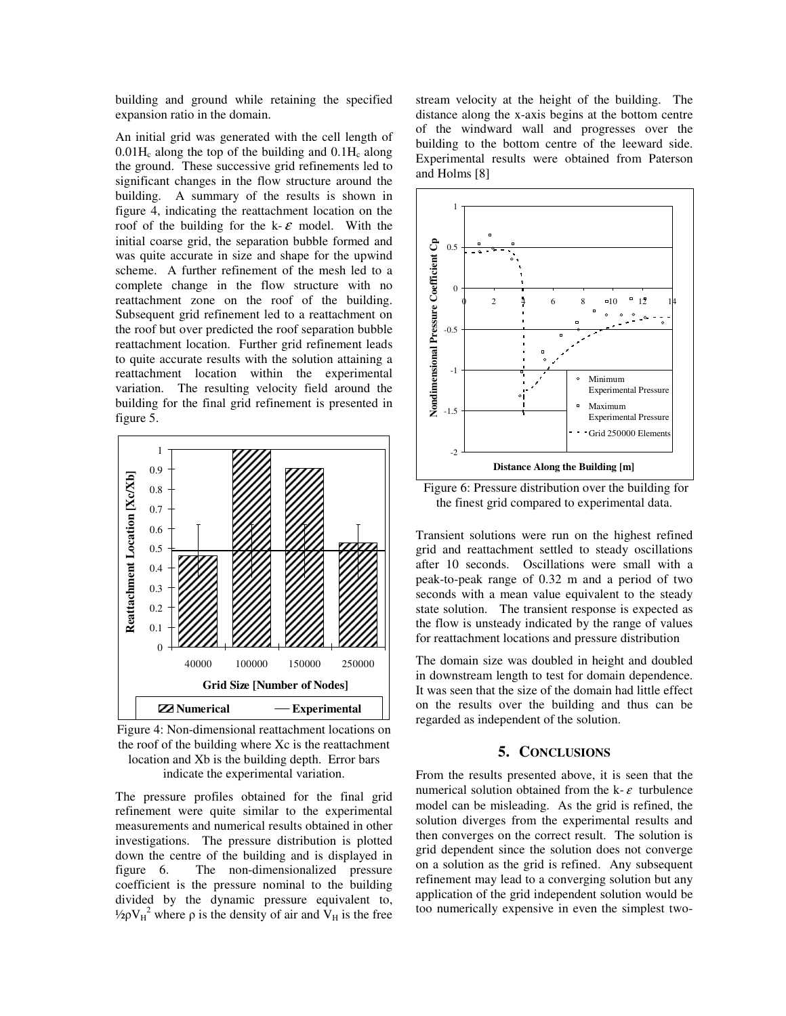building and ground while retaining the specified expansion ratio in the domain.

An initial grid was generated with the cell length of  $0.01H_c$  along the top of the building and  $0.1H_c$  along the ground. These successive grid refinements led to significant changes in the flow structure around the building. A summary of the results is shown in figure 4, indicating the reattachment location on the roof of the building for the k- $\varepsilon$  model. With the initial coarse grid, the separation bubble formed and was quite accurate in size and shape for the upwind scheme. A further refinement of the mesh led to a complete change in the flow structure with no reattachment zone on the roof of the building. Subsequent grid refinement led to a reattachment on the roof but over predicted the roof separation bubble reattachment location. Further grid refinement leads to quite accurate results with the solution attaining a reattachment location within the experimental variation. The resulting velocity field around the building for the final grid refinement is presented in figure 5.



Figure 4: Non-dimensional reattachment locations on the roof of the building where Xc is the reattachment location and Xb is the building depth. Error bars

indicate the experimental variation.

The pressure profiles obtained for the final grid refinement were quite similar to the experimental measurements and numerical results obtained in other investigations. The pressure distribution is plotted down the centre of the building and is displayed in figure 6. The non-dimensionalized pressure coefficient is the pressure nominal to the building divided by the dynamic pressure equivalent to, <sup>1</sup>/<sub>2</sub>ρV<sub>H</sub><sup>2</sup> where ρ is the density of air and V<sub>H</sub> is the free

stream velocity at the height of the building. The distance along the x-axis begins at the bottom centre of the windward wall and progresses over the building to the bottom centre of the leeward side. Experimental results were obtained from Paterson and Holms [8]



Figure 6: Pressure distribution over the building for the finest grid compared to experimental data.

Transient solutions were run on the highest refined grid and reattachment settled to steady oscillations after 10 seconds. Oscillations were small with a peak-to-peak range of 0.32 m and a period of two seconds with a mean value equivalent to the steady state solution. The transient response is expected as the flow is unsteady indicated by the range of values for reattachment locations and pressure distribution

The domain size was doubled in height and doubled in downstream length to test for domain dependence. It was seen that the size of the domain had little effect on the results over the building and thus can be regarded as independent of the solution.

## **5. CONCLUSIONS**

From the results presented above, it is seen that the numerical solution obtained from the k- $\varepsilon$  turbulence model can be misleading. As the grid is refined, the solution diverges from the experimental results and then converges on the correct result. The solution is grid dependent since the solution does not converge on a solution as the grid is refined. Any subsequent refinement may lead to a converging solution but any application of the grid independent solution would be too numerically expensive in even the simplest two-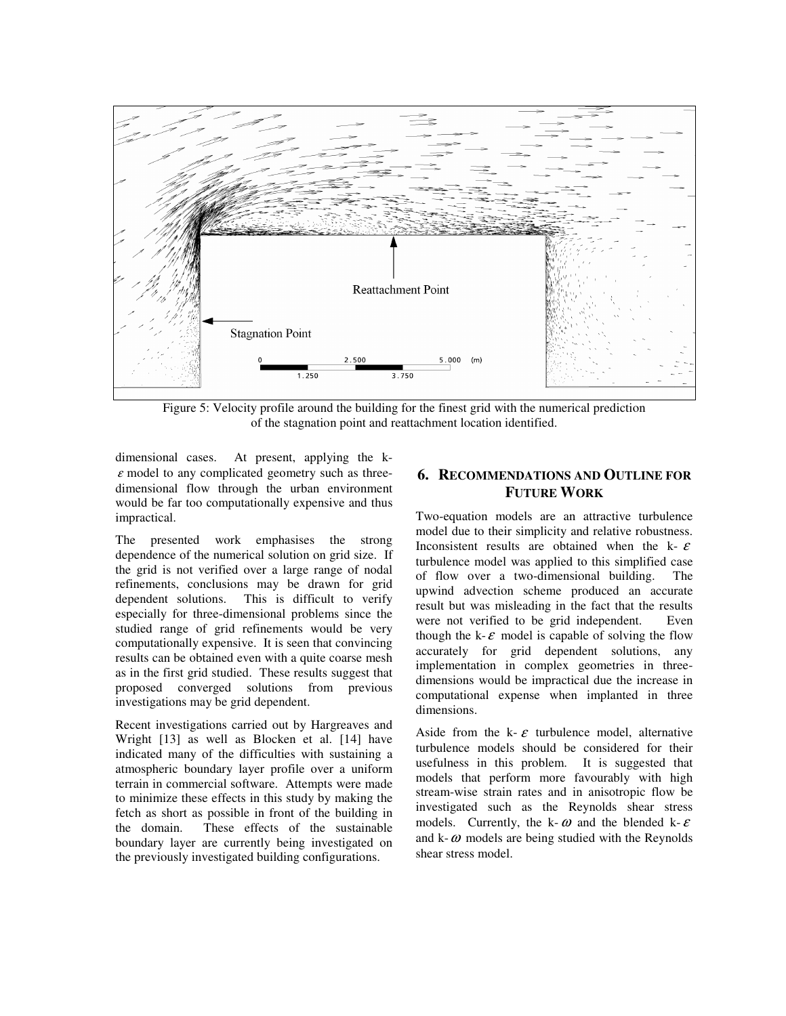

Figure 5: Velocity profile around the building for the finest grid with the numerical prediction of the stagnation point and reattachment location identified.

dimensional cases. At present, applying the k- $\varepsilon$  model to any complicated geometry such as threedimensional flow through the urban environment would be far too computationally expensive and thus impractical.

The presented work emphasises the strong dependence of the numerical solution on grid size. If the grid is not verified over a large range of nodal refinements, conclusions may be drawn for grid dependent solutions. This is difficult to verify especially for three-dimensional problems since the studied range of grid refinements would be very computationally expensive. It is seen that convincing results can be obtained even with a quite coarse mesh as in the first grid studied. These results suggest that proposed converged solutions from previous investigations may be grid dependent.

Recent investigations carried out by Hargreaves and Wright [13] as well as Blocken et al. [14] have indicated many of the difficulties with sustaining a atmospheric boundary layer profile over a uniform terrain in commercial software. Attempts were made to minimize these effects in this study by making the fetch as short as possible in front of the building in the domain. These effects of the sustainable boundary layer are currently being investigated on the previously investigated building configurations.

## **6. RECOMMENDATIONS AND OUTLINE FOR FUTURE WORK**

Two-equation models are an attractive turbulence model due to their simplicity and relative robustness. Inconsistent results are obtained when the  $k - \varepsilon$ turbulence model was applied to this simplified case of flow over a two-dimensional building. The upwind advection scheme produced an accurate result but was misleading in the fact that the results were not verified to be grid independent. Even though the k- $\varepsilon$  model is capable of solving the flow accurately for grid dependent solutions, any implementation in complex geometries in threedimensions would be impractical due the increase in computational expense when implanted in three dimensions.

Aside from the k- $\varepsilon$  turbulence model, alternative turbulence models should be considered for their usefulness in this problem. It is suggested that models that perform more favourably with high stream-wise strain rates and in anisotropic flow be investigated such as the Reynolds shear stress models. Currently, the k- $\omega$  and the blended k- $\varepsilon$ and  $k-\omega$  models are being studied with the Reynolds shear stress model.